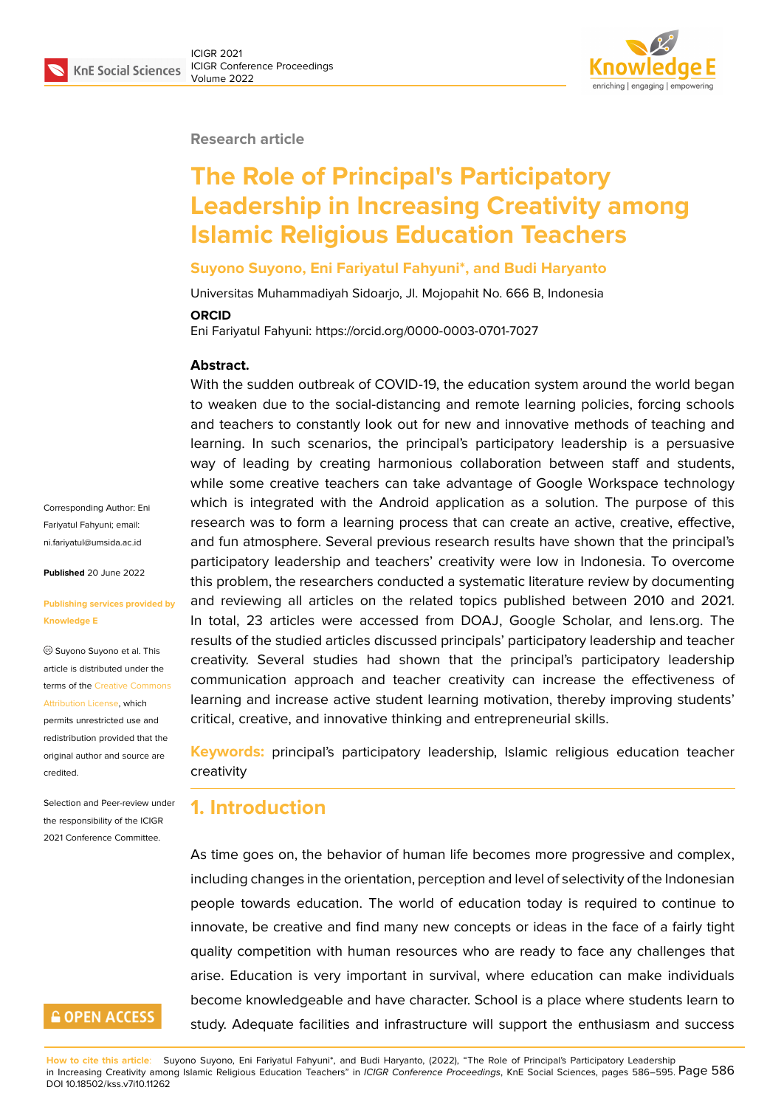#### **Research article**

# **The Role of Principal's Participatory Leadership in Increasing Creativity among Islamic Religious Education Teachers**

### **Suyono Suyono, Eni Fariyatul Fahyuni\*, and Budi Haryanto**

Universitas Muhammadiyah Sidoarjo, Jl. Mojopahit No. 666 B, Indonesia

#### **ORCID**

Eni Fariyatul Fahyuni: https://orcid.org/0000-0003-0701-7027

### **Abstract.**

With the sudden outbreak of COVID-19, the education system around the world began to weaken due to the social-distancing and remote learning policies, forcing schools and teachers to constantly look out for new and innovative methods of teaching and learning. In such scenarios, the principal's participatory leadership is a persuasive way of leading by creating harmonious collaboration between staff and students, while some creative teachers can take advantage of Google Workspace technology which is integrated with the Android application as a solution. The purpose of this research was to form a learning process that can create an active, creative, effective, and fun atmosphere. Several previous research results have shown that the principal's participatory leadership and teachers' creativity were low in Indonesia. To overcome this problem, the researchers conducted a systematic literature review by documenting and reviewing all articles on the related topics published between 2010 and 2021. In total, 23 articles were accessed from DOAJ, Google Scholar, and lens.org. The results of the studied articles discussed principals' participatory leadership and teacher creativity. Several studies had shown that the principal's participatory leadership communication approach and teacher creativity can increase the effectiveness of learning and increase active student learning motivation, thereby improving students' critical, creative, and innovative thinking and entrepreneurial skills.

**Keywords:** principal's participatory leadership, Islamic religious education teacher creativity

### **1. Introduction**

As time goes on, the behavior of human life becomes more progressive and complex, including changes in the orientation, perception and level of selectivity of the Indonesian people towards education. The world of education today is required to continue to innovate, be creative and find many new concepts or ideas in the face of a fairly tight quality competition with human resources who are ready to face any challenges that arise. Education is very important in survival, where education can make individuals become knowledgeable and have character. School is a place where students learn to study. Adequate facilities and infrastructure will support the enthusiasm and success

Corresponding Author: Eni Fariyatul Fahyuni; email: ni.fariyatul@umsida.ac.id

**Published** 20 June 2022

#### **[Publishing services prov](mailto:ni.fariyatul@umsida.ac.id)ided by Knowledge E**

Suyono Suyono et al. This article is distributed under the terms of the Creative Commons Attribution License, which

permits unrestricted use and redistribution provided that the original auth[or and source are](https://creativecommons.org/licenses/by/4.0/) [credited.](https://creativecommons.org/licenses/by/4.0/)

Selection and Peer-review under the responsibility of the ICIGR 2021 Conference Committee.

# **GOPEN ACCESS**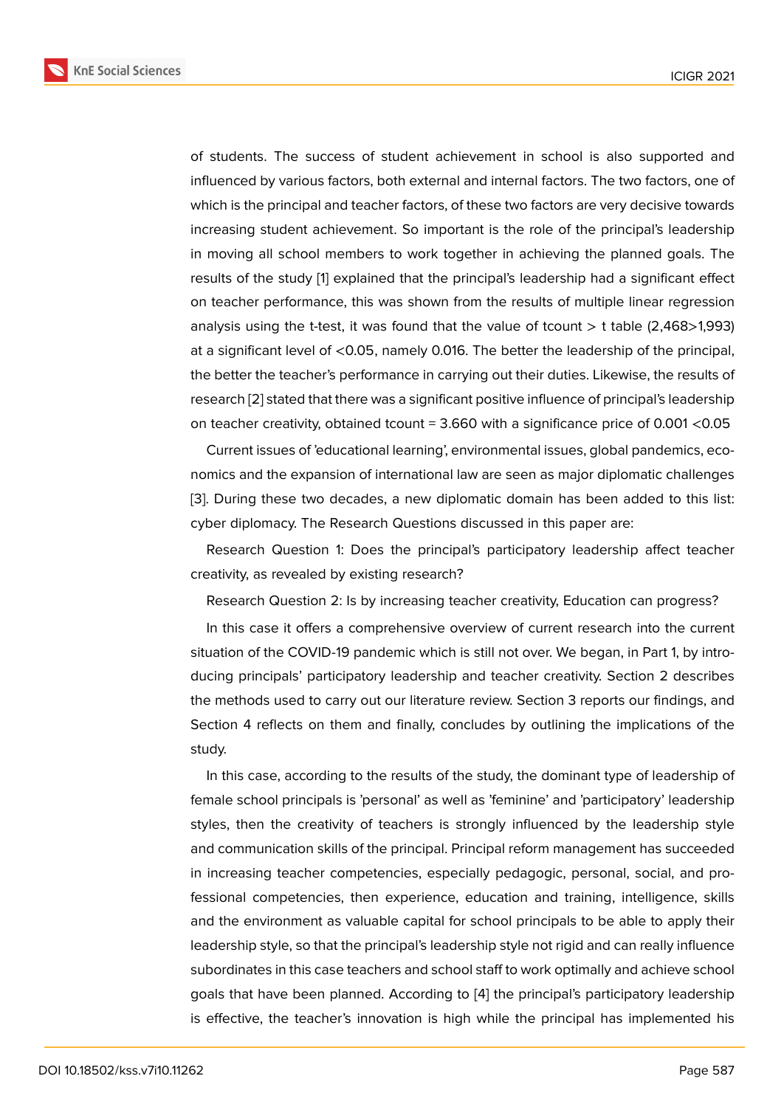of students. The success of student achievement in school is also supported and influenced by various factors, both external and internal factors. The two factors, one of which is the principal and teacher factors, of these two factors are very decisive towards increasing student achievement. So important is the role of the principal's leadership in moving all school members to work together in achieving the planned goals. The results of the study [1] explained that the principal's leadership had a significant effect on teacher performance, this was shown from the results of multiple linear regression analysis using the t-test, it was found that the value of tcount  $>$  t table (2,468 $>1,993$ ) at a significant level [o](#page-7-0)f <0.05, namely 0.016. The better the leadership of the principal, the better the teacher's performance in carrying out their duties. Likewise, the results of research [2] stated that there was a significant positive influence of principal's leadership on teacher creativity, obtained tcount = 3.660 with a significance price of 0.001 <0.05

Current issues of 'educational learning', environmental issues, global pandemics, economics a[nd](#page-7-1) the expansion of international law are seen as major diplomatic challenges [3]. During these two decades, a new diplomatic domain has been added to this list: cyber diplomacy. The Research Questions discussed in this paper are:

Research Question 1: Does the principal's participatory leadership affect teacher [cre](#page-7-2)ativity, as revealed by existing research?

Research Question 2: Is by increasing teacher creativity, Education can progress?

In this case it offers a comprehensive overview of current research into the current situation of the COVID-19 pandemic which is still not over. We began, in Part 1, by introducing principals' participatory leadership and teacher creativity. Section 2 describes the methods used to carry out our literature review. Section 3 reports our findings, and Section 4 reflects on them and finally, concludes by outlining the implications of the study.

In this case, according to the results of the study, the dominant type of leadership of female school principals is 'personal' as well as 'feminine' and 'participatory' leadership styles, then the creativity of teachers is strongly influenced by the leadership style and communication skills of the principal. Principal reform management has succeeded in increasing teacher competencies, especially pedagogic, personal, social, and professional competencies, then experience, education and training, intelligence, skills and the environment as valuable capital for school principals to be able to apply their leadership style, so that the principal's leadership style not rigid and can really influence subordinates in this case teachers and school staff to work optimally and achieve school goals that have been planned. According to [4] the principal's participatory leadership is effective, the teacher's innovation is high while the principal has implemented his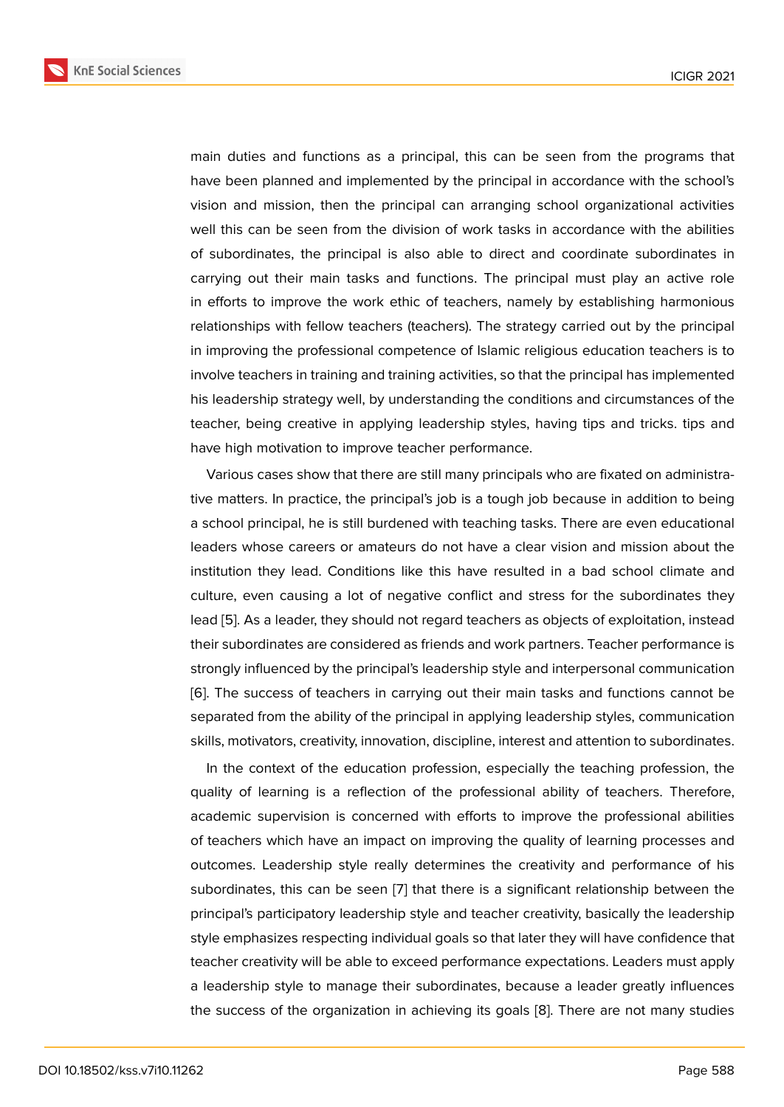main duties and functions as a principal, this can be seen from the programs that have been planned and implemented by the principal in accordance with the school's vision and mission, then the principal can arranging school organizational activities well this can be seen from the division of work tasks in accordance with the abilities of subordinates, the principal is also able to direct and coordinate subordinates in carrying out their main tasks and functions. The principal must play an active role in efforts to improve the work ethic of teachers, namely by establishing harmonious relationships with fellow teachers (teachers). The strategy carried out by the principal in improving the professional competence of Islamic religious education teachers is to involve teachers in training and training activities, so that the principal has implemented his leadership strategy well, by understanding the conditions and circumstances of the teacher, being creative in applying leadership styles, having tips and tricks. tips and have high motivation to improve teacher performance.

Various cases show that there are still many principals who are fixated on administrative matters. In practice, the principal's job is a tough job because in addition to being a school principal, he is still burdened with teaching tasks. There are even educational leaders whose careers or amateurs do not have a clear vision and mission about the institution they lead. Conditions like this have resulted in a bad school climate and culture, even causing a lot of negative conflict and stress for the subordinates they lead [5]. As a leader, they should not regard teachers as objects of exploitation, instead their subordinates are considered as friends and work partners. Teacher performance is strongly influenced by the principal's leadership style and interpersonal communication [6]. T[he](#page-7-3) success of teachers in carrying out their main tasks and functions cannot be separated from the ability of the principal in applying leadership styles, communication skills, motivators, creativity, innovation, discipline, interest and attention to subordinates.

In the context of the education profession, especially the teaching profession, the quality of learning is a reflection of the professional ability of teachers. Therefore, academic supervision is concerned with efforts to improve the professional abilities of teachers which have an impact on improving the quality of learning processes and outcomes. Leadership style really determines the creativity and performance of his subordinates, this can be seen [7] that there is a significant relationship between the principal's participatory leadership style and teacher creativity, basically the leadership style emphasizes respecting individual goals so that later they will have confidence that teacher creativity will be able to [ex](#page-8-0)ceed performance expectations. Leaders must apply a leadership style to manage their subordinates, because a leader greatly influences the success of the organization in achieving its goals [8]. There are not many studies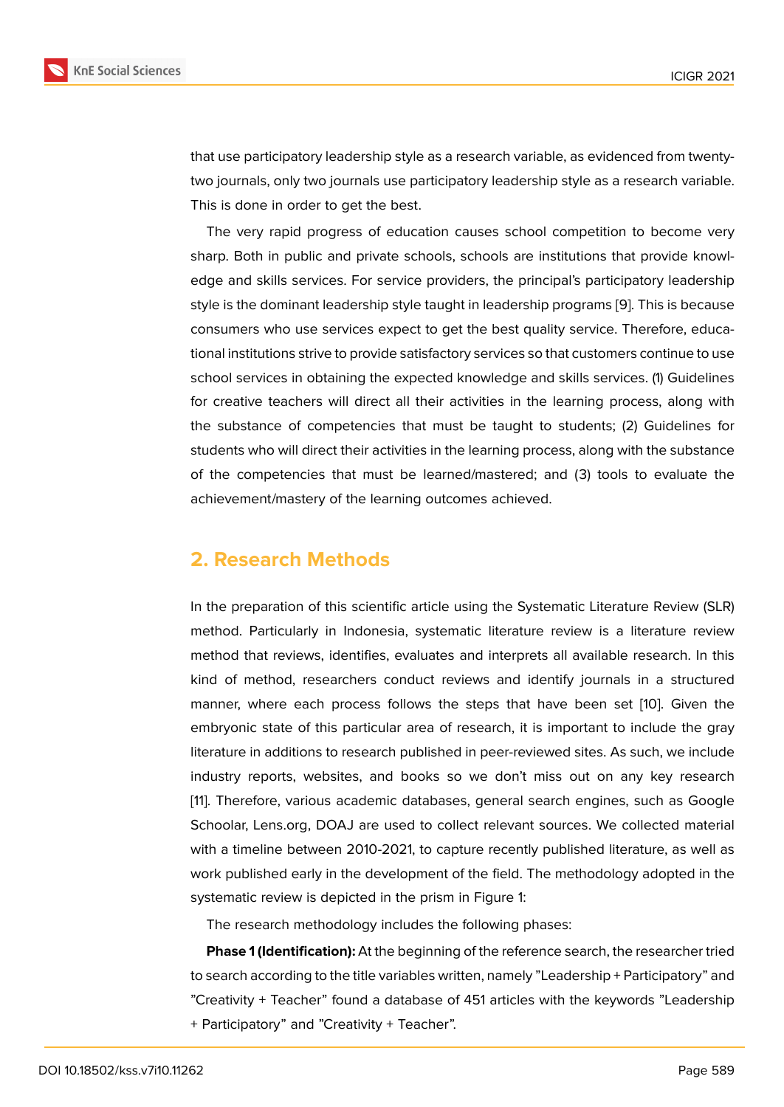that use participatory leadership style as a research variable, as evidenced from twentytwo journals, only two journals use participatory leadership style as a research variable. This is done in order to get the best.

The very rapid progress of education causes school competition to become very sharp. Both in public and private schools, schools are institutions that provide knowledge and skills services. For service providers, the principal's participatory leadership style is the dominant leadership style taught in leadership programs [9]. This is because consumers who use services expect to get the best quality service. Therefore, educational institutions strive to provide satisfactory services so that customers continue to use school services in obtaining the expected knowledge and skills ser[vic](#page-8-1)es. (1) Guidelines for creative teachers will direct all their activities in the learning process, along with the substance of competencies that must be taught to students; (2) Guidelines for students who will direct their activities in the learning process, along with the substance of the competencies that must be learned/mastered; and (3) tools to evaluate the achievement/mastery of the learning outcomes achieved.

## **2. Research Methods**

In the preparation of this scientific article using the Systematic Literature Review (SLR) method. Particularly in Indonesia, systematic literature review is a literature review method that reviews, identifies, evaluates and interprets all available research. In this kind of method, researchers conduct reviews and identify journals in a structured manner, where each process follows the steps that have been set [10]. Given the embryonic state of this particular area of research, it is important to include the gray literature in additions to research published in peer-reviewed sites. As such, we include industry reports, websites, and books so we don't miss out on any [k](#page-8-2)ey research [11]. Therefore, various academic databases, general search engines, such as Google Schoolar, Lens.org, DOAJ are used to collect relevant sources. We collected material with a timeline between 2010-2021, to capture recently published literature, as well as [wo](#page-8-3)rk published early in the development of the field. The methodology adopted in the systematic review is depicted in the prism in Figure 1:

The research methodology includes the following phases:

**Phase 1 (Identification):** At the beginning of the re[fe](#page-4-0)rence search, the researcher tried to search according to the title variables written, namely "Leadership + Participatory" and "Creativity + Teacher" found a database of 451 articles with the keywords "Leadership + Participatory" and "Creativity + Teacher".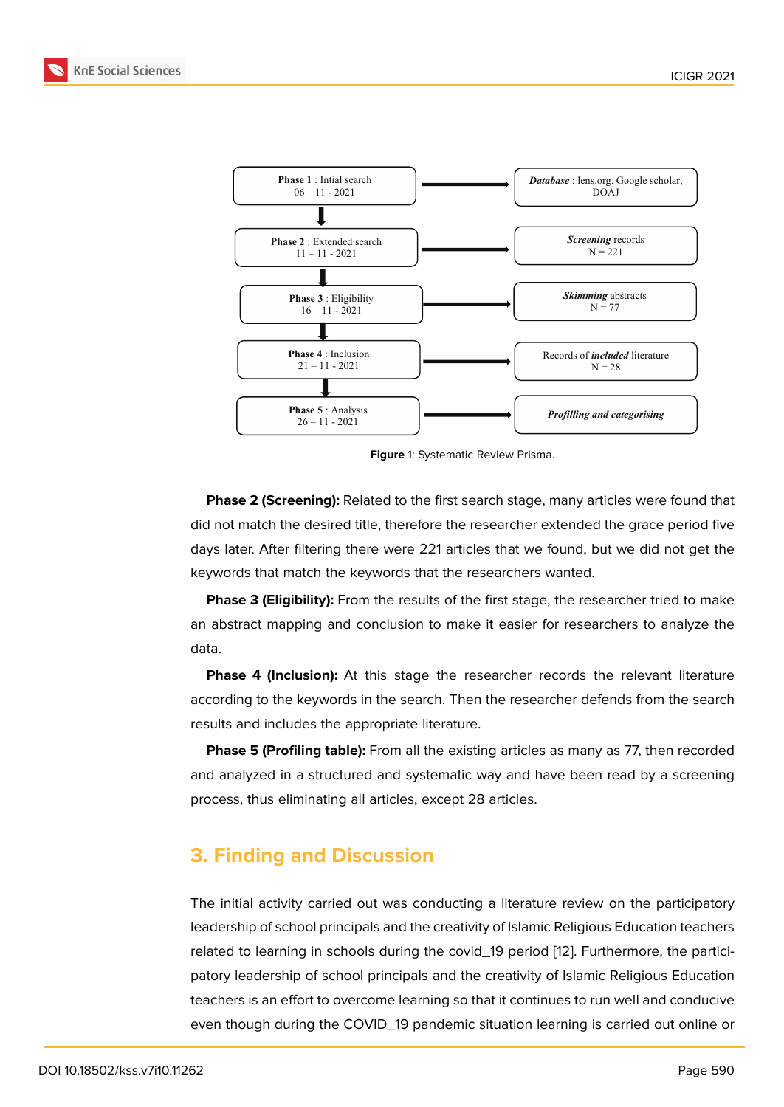

<span id="page-4-0"></span>**Figure** 1: Systematic Review Prisma.

**Phase 2 (Screening):** Related to the first search stage, many articles were found that did not match the desired title, therefore the researcher extended the grace period five days later. After filtering there were 221 articles that we found, but we did not get the keywords that match the keywords that the researchers wanted.

**Phase 3 (Eligibility):** From the results of the first stage, the researcher tried to make an abstract mapping and conclusion to make it easier for researchers to analyze the data.

**Phase 4 (Inclusion):** At this stage the researcher records the relevant literature according to the keywords in the search. Then the researcher defends from the search results and includes the appropriate literature.

**Phase 5 (Profiling table):** From all the existing articles as many as 77, then recorded and analyzed in a structured and systematic way and have been read by a screening process, thus eliminating all articles, except 28 articles.

# **3. Finding and Discussion**

The initial activity carried out was conducting a literature review on the participatory leadership of school principals and the creativity of Islamic Religious Education teachers related to learning in schools during the covid\_19 period [12]. Furthermore, the participatory leadership of school principals and the creativity of Islamic Religious Education teachers is an effort to overcome learning so that it continues to run well and conducive even though during the COVID\_19 pandemic situation lea[rni](#page-8-4)ng is carried out online or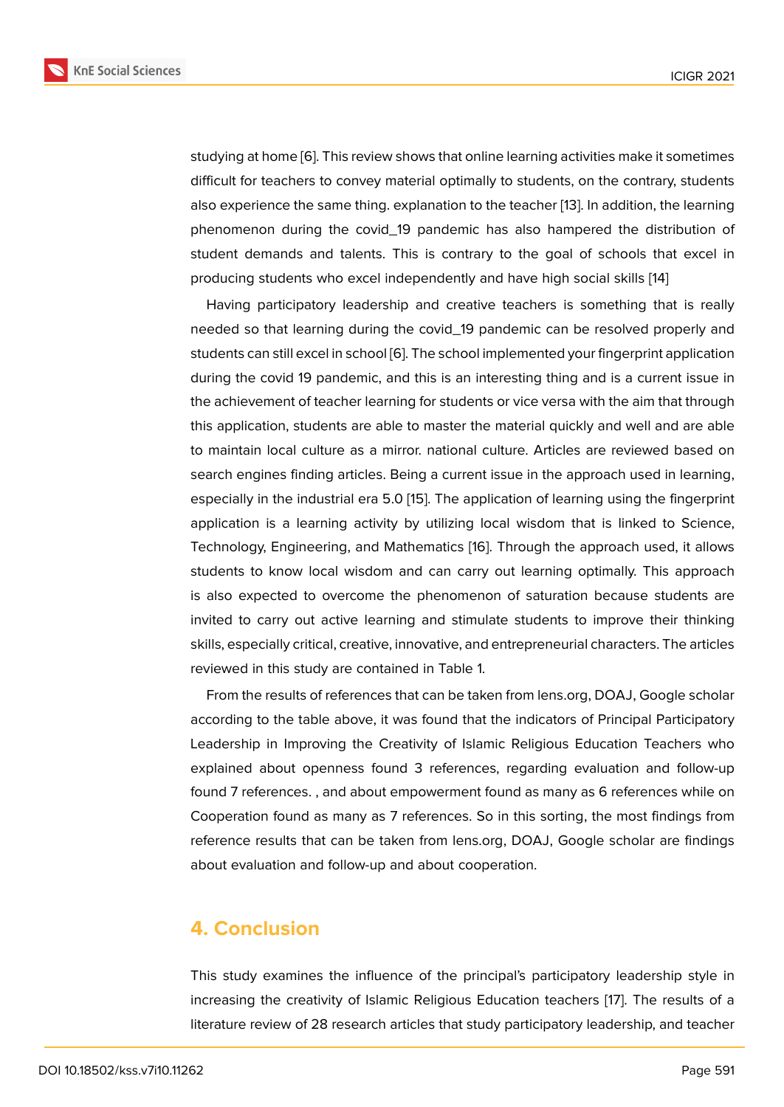studying at home [6]. This review shows that online learning activities make it sometimes difficult for teachers to convey material optimally to students, on the contrary, students also experience the same thing. explanation to the teacher [13]. In addition, the learning phenomenon dur[in](#page-8-5)g the covid\_19 pandemic has also hampered the distribution of student demands and talents. This is contrary to the goal of schools that excel in producing students who excel independently and have hig[h s](#page-8-6)ocial skills [14]

Having participatory leadership and creative teachers is something that is really needed so that learning during the covid\_19 pandemic can be resolved properly and students can still excel in school [6]. The school implemented your fingerpri[nt a](#page-8-7)pplication during the covid 19 pandemic, and this is an interesting thing and is a current issue in the achievement of teacher learning for students or vice versa with the aim that through this application, students are ab[le](#page-8-5) to master the material quickly and well and are able to maintain local culture as a mirror. national culture. Articles are reviewed based on search engines finding articles. Being a current issue in the approach used in learning, especially in the industrial era 5.0 [15]. The application of learning using the fingerprint application is a learning activity by utilizing local wisdom that is linked to Science, Technology, Engineering, and Mathematics [16]. Through the approach used, it allows students to know local wisdom a[nd](#page-8-8) can carry out learning optimally. This approach is also expected to overcome the phenomenon of saturation because students are invited to carry out active learning and sti[mul](#page-8-9)ate students to improve their thinking skills, especially critical, creative, innovative, and entrepreneurial characters. The articles reviewed in this study are contained in Table 1.

From the results of references that can be taken from lens.org, DOAJ, Google scholar according to the table above, it was found that the indicators of Principal Participatory Leadership in Improving the Creativity of Islamic Religious Education Teachers who explained about openness found 3 references, regarding evaluation and follow-up found 7 references. , and about empowerment found as many as 6 references while on Cooperation found as many as 7 references. So in this sorting, the most findings from reference results that can be taken from lens.org, DOAJ, Google scholar are findings about evaluation and follow-up and about cooperation.

## **4. Conclusion**

This study examines the influence of the principal's participatory leadership style in increasing the creativity of Islamic Religious Education teachers [17]. The results of a literature review of 28 research articles that study participatory leadership, and teacher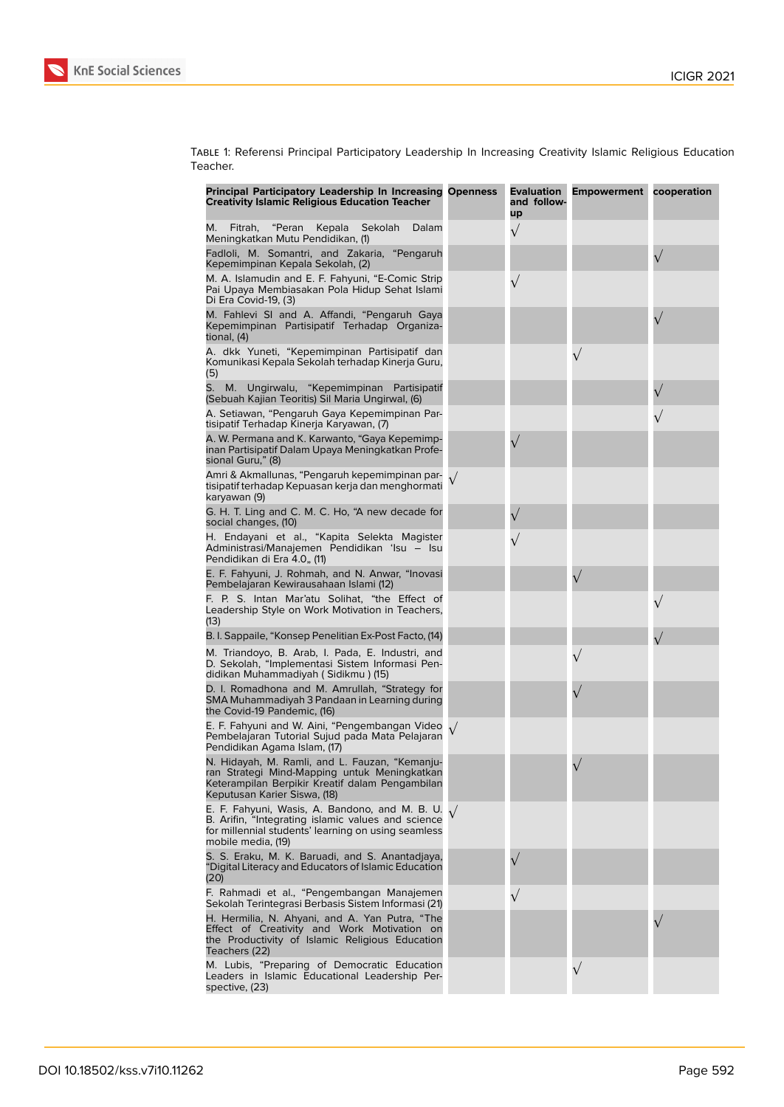

| Principal Participatory Leadership In Increasing Openness<br><b>Creativity Islamic Religious Education Teacher</b>                                                                        | <b>Evaluation</b><br>and follow-<br>up | <b>Empowerment</b> | cooperation |
|-------------------------------------------------------------------------------------------------------------------------------------------------------------------------------------------|----------------------------------------|--------------------|-------------|
| Μ.<br>Fitrah,<br>"Peran<br>Kepala<br>Sekolah<br>Dalam<br>Meningkatkan Mutu Pendidikan, (1)                                                                                                | $\sqrt{}$                              |                    |             |
| Fadloli, M. Somantri, and Zakaria, "Pengaruh<br>Kepemimpinan Kepala Sekolah, (2)                                                                                                          |                                        |                    |             |
| M. A. Islamudin and E. F. Fahyuni, "E-Comic Strip<br>Pai Upaya Membiasakan Pola Hidup Sehat Islami<br>Di Era Covid-19, (3)                                                                | $\sqrt{}$                              |                    |             |
| M. Fahlevi SI and A. Affandi, "Pengaruh Gaya<br>Kepemimpinan Partisipatif Terhadap Organiza-<br>tional, (4)                                                                               |                                        |                    |             |
| A. dkk Yuneti, "Kepemimpinan Partisipatif dan<br>Komunikasi Kepala Sekolah terhadap Kinerja Guru,<br>(5)                                                                                  |                                        |                    |             |
| S. M.<br>Ungirwalu, "Kepemimpinan Partisipatif<br>(Sebuah Kajian Teoritis) Sil Maria Ungirwal, (6)                                                                                        |                                        |                    |             |
| A. Setiawan, "Pengaruh Gaya Kepemimpinan Par-<br>tisipatif Terhadap Kinerja Karyawan, (7)                                                                                                 |                                        |                    |             |
| A. W. Permana and K. Karwanto, "Gaya Kepemimp-<br>inan Partisipatif Dalam Upaya Meningkatkan Profe-<br>sional Guru," (8)                                                                  |                                        |                    |             |
| Amri & Akmallunas, "Pengaruh kepemimpinan par-<br>tisipatif terhadap Kepuasan kerja dan menghormati<br>karyawan (9)                                                                       |                                        |                    |             |
| G. H. T. Ling and C. M. C. Ho, "A new decade for<br>social changes, (10)                                                                                                                  | V                                      |                    |             |
| H. Endayani et al., "Kapita Selekta Magister<br>Administrasi/Manajemen Pendidikan 'Isu – Isu<br>Pendidikan di Era 4.0,, (11)                                                              |                                        |                    |             |
| E. F. Fahyuni, J. Rohmah, and N. Anwar, "Inovasi<br>Pembelajaran Kewirausahaan Islami (12)                                                                                                |                                        |                    |             |
| F. P. S. Intan Mar'atu Solihat, "the Effect of<br>Leadership Style on Work Motivation in Teachers,<br>(13)                                                                                |                                        |                    |             |
| B. I. Sappaile, "Konsep Penelitian Ex-Post Facto, (14)                                                                                                                                    |                                        |                    |             |
| M. Triandoyo, B. Arab, I. Pada, E. Industri, and<br>D. Sekolah, "Implementasi Sistem Informasi Pen-<br>didikan Muhammadiyah (Sidikmu) (15)                                                |                                        |                    |             |
| D. I. Romadhona and M. Amrullah, "Strategy for<br>SMA Muhammadiyah 3 Pandaan in Learning during<br>the Covid-19 Pandemic, (16)                                                            |                                        |                    |             |
| E. F. Fahyuni and W. Aini, "Pengembangan Video $\sqrt{}$<br>Pembelajaran Tutorial Sujud pada Mata Pelajaran<br>Pendidikan Agama Islam, (17)                                               |                                        |                    |             |
| N. Hidayah, M. Ramli, and L. Fauzan, "Kemanju-<br>ran Strategi Mind-Mapping untuk Meningkatkan<br>Keterampilan Berpikir Kreatif dalam Pengambilan<br>Keputusan Karier Siswa, (18)         |                                        |                    |             |
| E. F. Fahyuni, Wasis, A. Bandono, and M. B. U. $\sqrt$<br>B. Arifin, "Integrating islamic values and science<br>for millennial students' learning on using seamless<br>mobile media, (19) |                                        |                    |             |
| S. S. Eraku, M. K. Baruadi, and S. Anantadjaya,<br>"Digital Literacy and Educators of Islamic Education<br>(20)                                                                           | $\sqrt{}$                              |                    |             |
| F. Rahmadi et al., "Pengembangan Manajemen<br>Sekolah Terintegrasi Berbasis Sistem Informasi (21)                                                                                         | $\sqrt{}$                              |                    |             |
| H. Hermilia, N. Ahyani, and A. Yan Putra, "The<br>Effect of Creativity and Work Motivation on<br>the Productivity of Islamic Religious Education<br>Teachers (22)                         |                                        |                    |             |
| M. Lubis, "Preparing of Democratic Education<br>Leaders in Islamic Educational Leadership Per-<br>spective, (23)                                                                          |                                        | $\sqrt{}$          |             |

Table 1: Referensi Principal Participatory Leadership In Increasing Creativity Islamic Religious Education Teacher.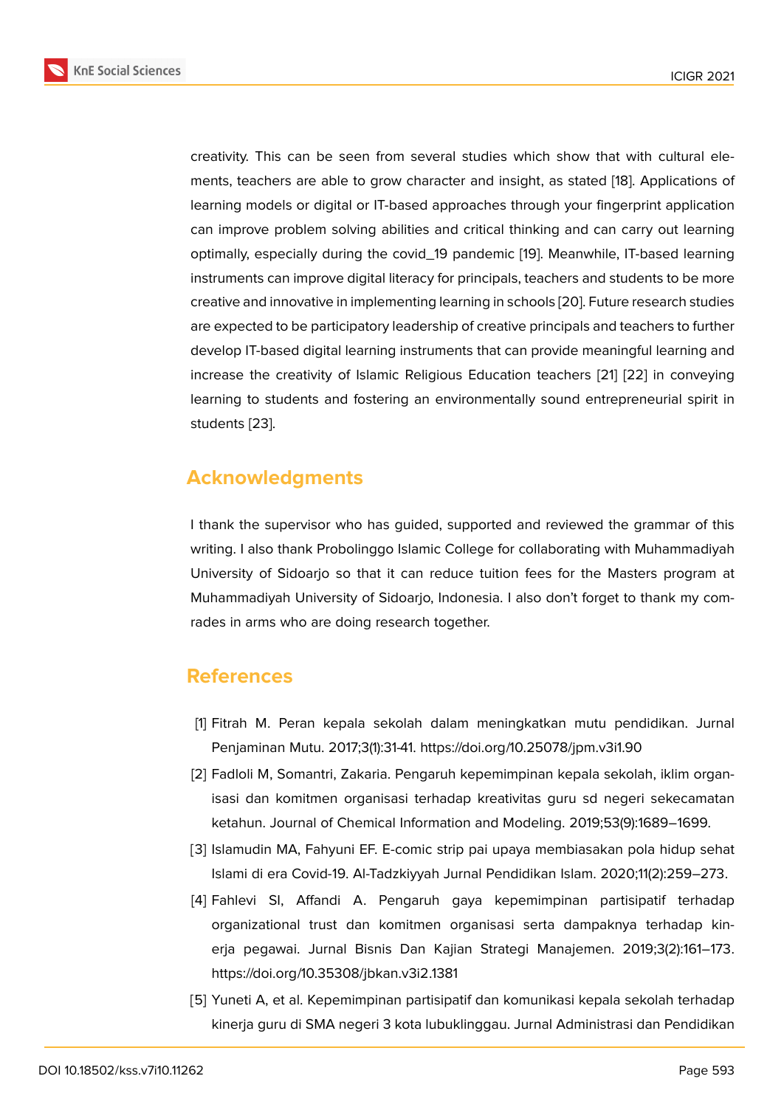creativity. This can be seen from several studies which show that with cultural elements, teachers are able to grow character and insight, as stated [18]. Applications of learning models or digital or IT-based approaches through your fingerprint application can improve problem solving abilities and critical thinking and can carry out learning optimally, especially during the covid\_19 pandemic [19]. Meanwhil[e, IT](#page-8-10)-based learning instruments can improve digital literacy for principals, teachers and students to be more creative and innovative in implementing learning in schools [20]. Future research studies are expected to be participatory leadership of creativ[e p](#page-9-0)rincipals and teachers to further develop IT-based digital learning instruments that can provide meaningful learning and increase the creativity of Islamic Religious Education tea[che](#page-9-1)rs [21] [22] in conveying learning to students and fostering an environmentally sound entrepreneurial spirit in students [23].

# **Ackno[wl](#page-9-2)edgments**

I thank the supervisor who has guided, supported and reviewed the grammar of this writing. I also thank Probolinggo Islamic College for collaborating with Muhammadiyah University of Sidoarjo so that it can reduce tuition fees for the Masters program at Muhammadiyah University of Sidoarjo, Indonesia. I also don't forget to thank my comrades in arms who are doing research together.

## **References**

- [1] Fitrah M. Peran kepala sekolah dalam meningkatkan mutu pendidikan. Jurnal Penjaminan Mutu. 2017;3(1):31-41. https://doi.org/10.25078/jpm.v3i1.90
- <span id="page-7-0"></span>[2] Fadloli M, Somantri, Zakaria. Pengaruh kepemimpinan kepala sekolah, iklim organisasi dan komitmen organisasi terhadap kreativitas guru sd negeri sekecamatan ketahun. Journal of Chemical Information and Modeling. 2019;53(9):1689–1699.
- <span id="page-7-1"></span>[3] Islamudin MA, Fahyuni EF. E-comic strip pai upaya membiasakan pola hidup sehat Islami di era Covid-19. Al-Tadzkiyyah Jurnal Pendidikan Islam. 2020;11(2):259–273.
- <span id="page-7-2"></span>[4] Fahlevi SI, Affandi A. Pengaruh gaya kepemimpinan partisipatif terhadap organizational trust dan komitmen organisasi serta dampaknya terhadap kinerja pegawai. Jurnal Bisnis Dan Kajian Strategi Manajemen. 2019;3(2):161–173. https://doi.org/10.35308/jbkan.v3i2.1381
- <span id="page-7-3"></span>[5] Yuneti A, et al. Kepemimpinan partisipatif dan komunikasi kepala sekolah terhadap kinerja guru di SMA negeri 3 kota lubuklinggau. Jurnal Administrasi dan Pendidikan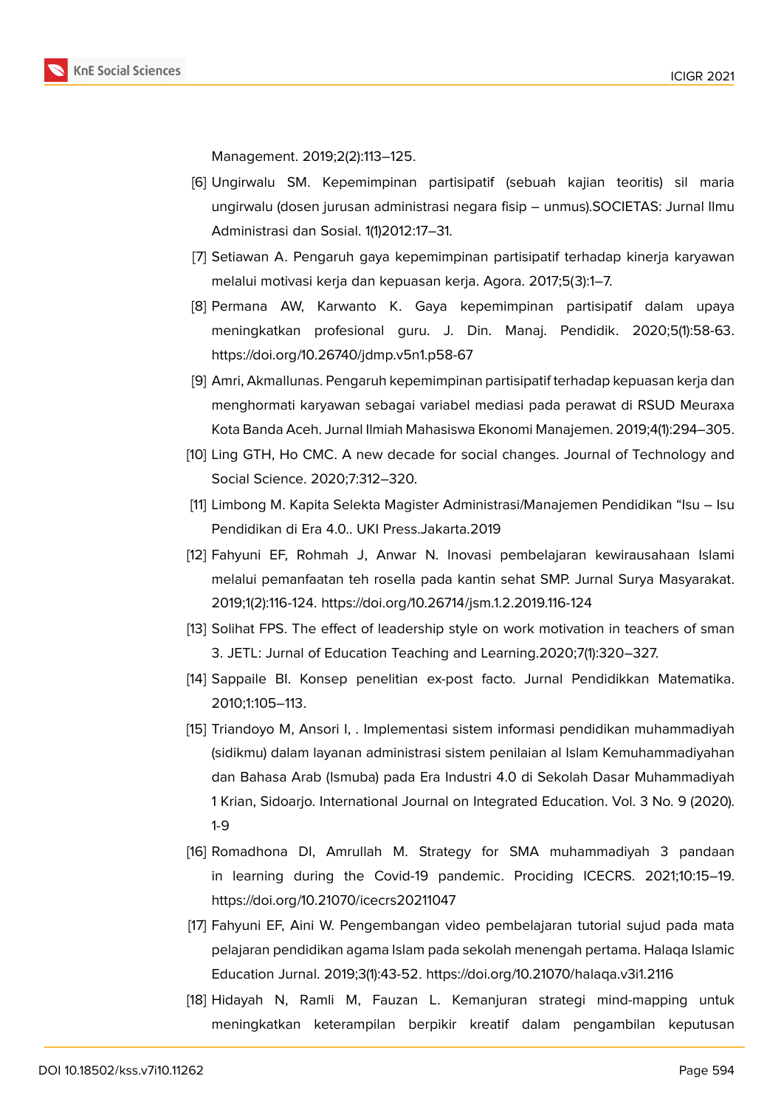**KnE Social Sciences** 

Management. 2019;2(2):113–125.

- <span id="page-8-5"></span>[6] Ungirwalu SM. Kepemimpinan partisipatif (sebuah kajian teoritis) sil maria ungirwalu (dosen jurusan administrasi negara fisip – unmus).SOCIETAS: Jurnal Ilmu Administrasi dan Sosial. 1(1)2012:17–31.
- <span id="page-8-0"></span>[7] Setiawan A. Pengaruh gaya kepemimpinan partisipatif terhadap kinerja karyawan melalui motivasi kerja dan kepuasan kerja. Agora. 2017;5(3):1–7.
- [8] Permana AW, Karwanto K. Gaya kepemimpinan partisipatif dalam upaya meningkatkan profesional guru. J. Din. Manaj. Pendidik. 2020;5(1):58-63. https://doi.org/10.26740/jdmp.v5n1.p58-67
- <span id="page-8-1"></span>[9] Amri, Akmallunas. Pengaruh kepemimpinan partisipatif terhadap kepuasan kerja dan menghormati karyawan sebagai variabel mediasi pada perawat di RSUD Meuraxa Kota Banda Aceh. Jurnal Ilmiah Mahasiswa Ekonomi Manajemen. 2019;4(1):294–305.
- <span id="page-8-2"></span>[10] Ling GTH, Ho CMC. A new decade for social changes. Journal of Technology and Social Science. 2020;7:312–320.
- <span id="page-8-3"></span>[11] Limbong M. Kapita Selekta Magister Administrasi/Manajemen Pendidikan "Isu – Isu Pendidikan di Era 4.0.. UKI Press.Jakarta.2019
- <span id="page-8-4"></span>[12] Fahyuni EF, Rohmah J, Anwar N. Inovasi pembelajaran kewirausahaan Islami melalui pemanfaatan teh rosella pada kantin sehat SMP. Jurnal Surya Masyarakat. 2019;1(2):116-124. https://doi.org/10.26714/jsm.1.2.2019.116-124
- <span id="page-8-6"></span>[13] Solihat FPS. The effect of leadership style on work motivation in teachers of sman 3. JETL: Jurnal of Education Teaching and Learning.2020;7(1):320–327.
- <span id="page-8-7"></span>[14] Sappaile BI. Konsep penelitian ex-post facto. Jurnal Pendidikkan Matematika. 2010;1:105–113.
- <span id="page-8-8"></span>[15] Triandoyo M, Ansori I, . Implementasi sistem informasi pendidikan muhammadiyah (sidikmu) dalam layanan administrasi sistem penilaian al Islam Kemuhammadiyahan dan Bahasa Arab (Ismuba) pada Era Industri 4.0 di Sekolah Dasar Muhammadiyah 1 Krian, Sidoarjo. International Journal on Integrated Education. Vol. 3 No. 9 (2020). 1-9
- <span id="page-8-9"></span>[16] Romadhona DI, Amrullah M. Strategy for SMA muhammadiyah 3 pandaan in learning during the Covid-19 pandemic. Prociding ICECRS. 2021;10:15–19. https://doi.org/10.21070/icecrs20211047
- [17] Fahyuni EF, Aini W. Pengembangan video pembelajaran tutorial sujud pada mata pelajaran pendidikan agama Islam pada sekolah menengah pertama. Halaqa Islamic Education Jurnal. 2019;3(1):43-52. https://doi.org/10.21070/halaqa.v3i1.2116
- <span id="page-8-10"></span>[18] Hidayah N, Ramli M, Fauzan L. Kemanjuran strategi mind-mapping untuk meningkatkan keterampilan berpikir kreatif dalam pengambilan keputusan